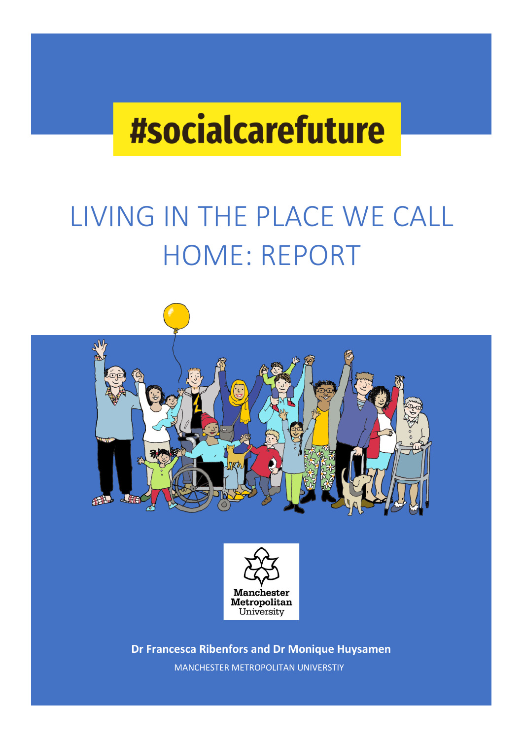# **#socialcarefuture**

# LIVING IN THE PLACE WE CALL HOME: REPORT





**Dr Francesca Ribenfors and Dr Monique Huysamen** MANCHESTER METROPOLITAN UNIVERSTIY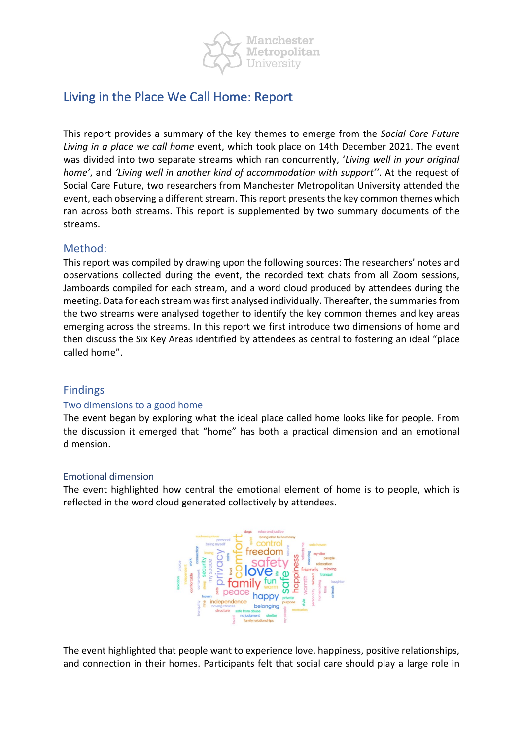

# Living in the Place We Call Home: Report

This report provides a summary of the key themes to emerge from the *Social Care Future Living in a place we call home* event, which took place on 14th December 2021. The event was divided into two separate streams which ran concurrently, '*Living well in your original home'*, and *'Living well in another kind of accommodation with support''*. At the request of Social Care Future, two researchers from Manchester Metropolitan University attended the event, each observing a different stream. This report presents the key common themes which ran across both streams. This report is supplemented by two summary documents of the streams.

#### Method:

This report was compiled by drawing upon the following sources: The researchers' notes and observations collected during the event, the recorded text chats from all Zoom sessions, Jamboards compiled for each stream, and a word cloud produced by attendees during the meeting. Data for each stream was first analysed individually. Thereafter, the summaries from the two streams were analysed together to identify the key common themes and key areas emerging across the streams. In this report we first introduce two dimensions of home and then discuss the Six Key Areas identified by attendees as central to fostering an ideal "place called home".

#### Findings

#### Two dimensions to a good home

The event began by exploring what the ideal place called home looks like for people. From the discussion it emerged that "home" has both a practical dimension and an emotional dimension.

#### Emotional dimension

The event highlighted how central the emotional element of home is to people, which is reflected in the word cloud generated collectively by attendees.



The event highlighted that people want to experience love, happiness, positive relationships, and connection in their homes. Participants felt that social care should play a large role in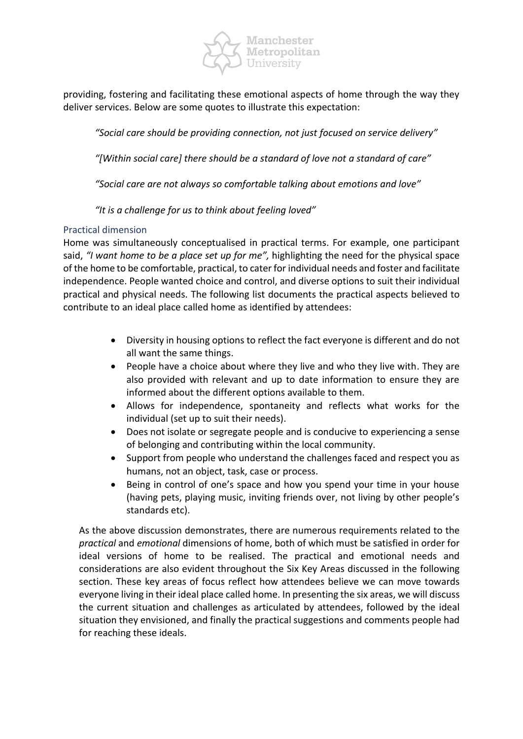

providing, fostering and facilitating these emotional aspects of home through the way they deliver services. Below are some quotes to illustrate this expectation:

*"Social care should be providing connection, not just focused on service delivery"* 

*"[Within social care] there should be a standard of love not a standard of care"*

*"Social care are not always so comfortable talking about emotions and love"* 

*"It is a challenge for us to think about feeling loved"* 

#### Practical dimension

Home was simultaneously conceptualised in practical terms. For example, one participant said, *"I want home to be a place set up for me",* highlighting the need for the physical space of the home to be comfortable, practical, to cater for individual needs and foster and facilitate independence. People wanted choice and control, and diverse options to suit their individual practical and physical needs. The following list documents the practical aspects believed to contribute to an ideal place called home as identified by attendees:

- Diversity in housing options to reflect the fact everyone is different and do not all want the same things.
- People have a choice about where they live and who they live with. They are also provided with relevant and up to date information to ensure they are informed about the different options available to them.
- Allows for independence, spontaneity and reflects what works for the individual (set up to suit their needs).
- Does not isolate or segregate people and is conducive to experiencing a sense of belonging and contributing within the local community.
- Support from people who understand the challenges faced and respect you as humans, not an object, task, case or process.
- Being in control of one's space and how you spend your time in your house (having pets, playing music, inviting friends over, not living by other people's standards etc).

As the above discussion demonstrates, there are numerous requirements related to the *practical* and *emotional* dimensions of home, both of which must be satisfied in order for ideal versions of home to be realised. The practical and emotional needs and considerations are also evident throughout the Six Key Areas discussed in the following section. These key areas of focus reflect how attendees believe we can move towards everyone living in their ideal place called home. In presenting the six areas, we will discuss the current situation and challenges as articulated by attendees, followed by the ideal situation they envisioned, and finally the practical suggestions and comments people had for reaching these ideals.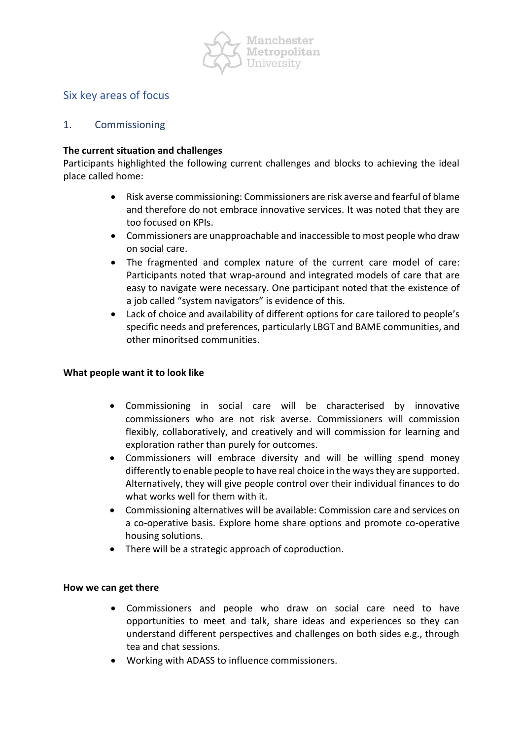

# Six key areas of focus

#### 1. Commissioning

#### **The current situation and challenges**

Participants highlighted the following current challenges and blocks to achieving the ideal place called home:

- Risk averse commissioning: Commissioners are risk averse and fearful of blame and therefore do not embrace innovative services. It was noted that they are too focused on KPIs.
- Commissioners are unapproachable and inaccessible to most people who draw on social care.
- The fragmented and complex nature of the current care model of care: Participants noted that wrap-around and integrated models of care that are easy to navigate were necessary. One participant noted that the existence of a job called "system navigators" is evidence of this.
- Lack of choice and availability of different options for care tailored to people's specific needs and preferences, particularly LBGT and BAME communities, and other minoritsed communities.

#### **What people want it to look like**

- Commissioning in social care will be characterised by innovative commissioners who are not risk averse. Commissioners will commission flexibly, collaboratively, and creatively and will commission for learning and exploration rather than purely for outcomes.
- Commissioners will embrace diversity and will be willing spend money differently to enable people to have real choice in the ways they are supported. Alternatively, they will give people control over their individual finances to do what works well for them with it.
- Commissioning alternatives will be available: Commission care and services on a co-operative basis. Explore home share options and promote co-operative housing solutions.
- There will be a strategic approach of coproduction.

#### **How we can get there**

- Commissioners and people who draw on social care need to have opportunities to meet and talk, share ideas and experiences so they can understand different perspectives and challenges on both sides e.g., through tea and chat sessions.
- Working with ADASS to influence commissioners.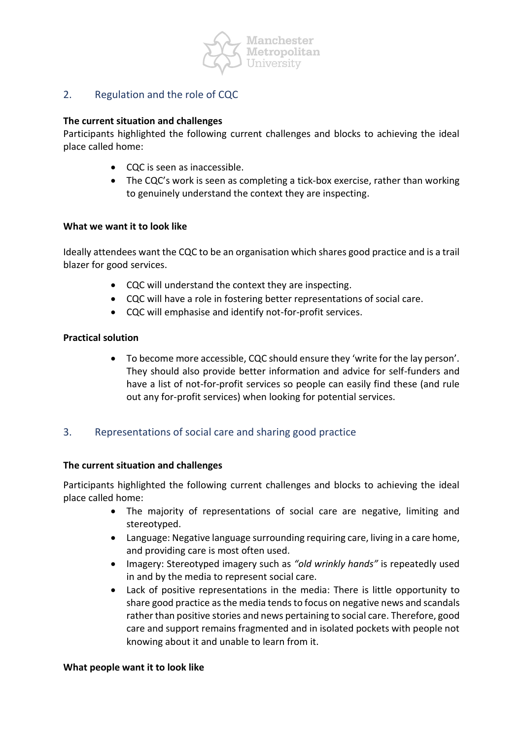

### 2. Regulation and the role of CQC

#### **The current situation and challenges**

Participants highlighted the following current challenges and blocks to achieving the ideal place called home:

- CQC is seen as inaccessible.
- The CQC's work is seen as completing a tick-box exercise, rather than working to genuinely understand the context they are inspecting.

#### **What we want it to look like**

Ideally attendees want the CQC to be an organisation which shares good practice and is a trail blazer for good services.

- CQC will understand the context they are inspecting.
- CQC will have a role in fostering better representations of social care.
- CQC will emphasise and identify not-for-profit services.

#### **Practical solution**

• To become more accessible, CQC should ensure they 'write for the lay person'. They should also provide better information and advice for self-funders and have a list of not-for-profit services so people can easily find these (and rule out any for-profit services) when looking for potential services.

#### 3. Representations of social care and sharing good practice

#### **The current situation and challenges**

Participants highlighted the following current challenges and blocks to achieving the ideal place called home:

- The majority of representations of social care are negative, limiting and stereotyped.
- Language: Negative language surrounding requiring care, living in a care home, and providing care is most often used.
- Imagery: Stereotyped imagery such as *"old wrinkly hands"* is repeatedly used in and by the media to represent social care.
- Lack of positive representations in the media: There is little opportunity to share good practice as the media tends to focus on negative news and scandals rather than positive stories and news pertaining to social care. Therefore, good care and support remains fragmented and in isolated pockets with people not knowing about it and unable to learn from it.

#### **What people want it to look like**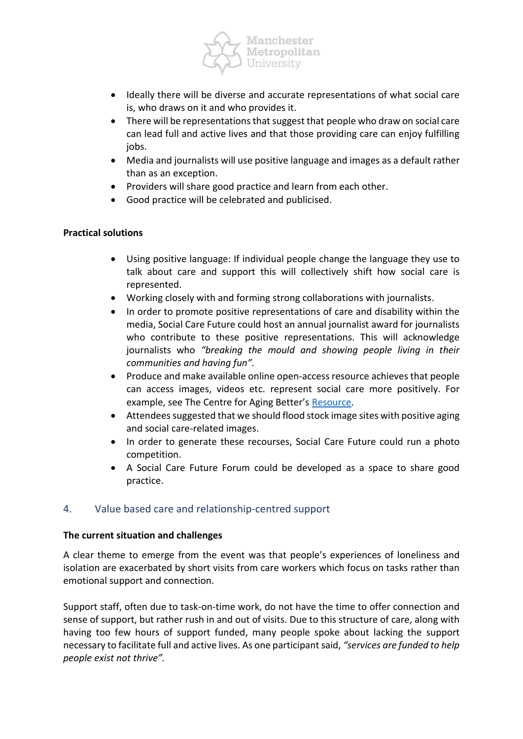

- Ideally there will be diverse and accurate representations of what social care is, who draws on it and who provides it.
- There will be representations that suggest that people who draw on social care can lead full and active lives and that those providing care can enjoy fulfilling jobs.
- Media and journalists will use positive language and images as a default rather than as an exception.
- Providers will share good practice and learn from each other.
- Good practice will be celebrated and publicised.

#### **Practical solutions**

- Using positive language: If individual people change the language they use to talk about care and support this will collectively shift how social care is represented.
- Working closely with and forming strong collaborations with journalists.
- In order to promote positive representations of care and disability within the media, Social Care Future could host an annual journalist award for journalists who contribute to these positive representations. This will acknowledge journalists who *"breaking the mould and showing people living in their communities and having fun".*
- Produce and make available online open-access resource achieves that people can access images, videos etc. represent social care more positively. For example, see The Centre for Aging Better's [Resource.](https://ageingbetter.resourcespace.com/pages/home.php)
- Attendees suggested that we should flood stock image sites with positive aging and social care-related images.
- In order to generate these recourses, Social Care Future could run a photo competition.
- A Social Care Future Forum could be developed as a space to share good practice.

# 4. Value based care and relationship-centred support

#### **The current situation and challenges**

A clear theme to emerge from the event was that people's experiences of loneliness and isolation are exacerbated by short visits from care workers which focus on tasks rather than emotional support and connection.

Support staff, often due to task-on-time work, do not have the time to offer connection and sense of support, but rather rush in and out of visits. Due to this structure of care, along with having too few hours of support funded, many people spoke about lacking the support necessary to facilitate full and active lives. As one participant said, *"services are funded to help people exist not thrive".*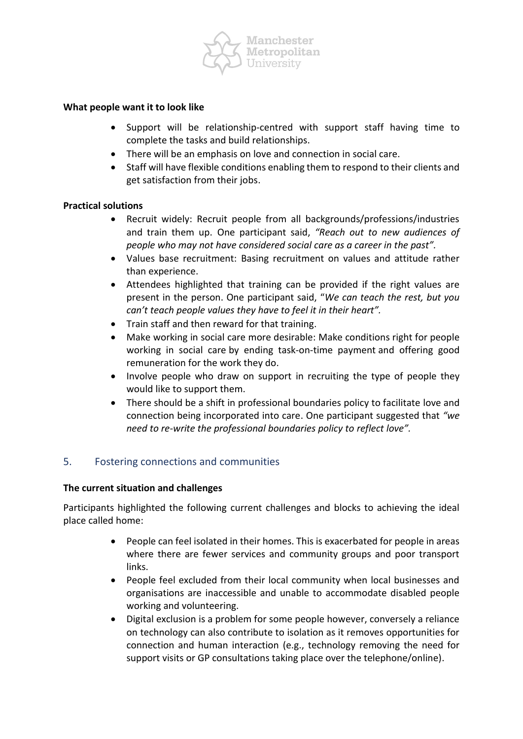

#### **What people want it to look like**

- Support will be relationship-centred with support staff having time to complete the tasks and build relationships.
- There will be an emphasis on love and connection in social care.
- Staff will have flexible conditions enabling them to respond to their clients and get satisfaction from their jobs.

#### **Practical solutions**

- Recruit widely: Recruit people from all backgrounds/professions/industries and train them up. One participant said, *"Reach out to new audiences of people who may not have considered social care as a career in the past".*
- Values base recruitment: Basing recruitment on values and attitude rather than experience.
- Attendees highlighted that training can be provided if the right values are present in the person. One participant said, "*We can teach the rest, but you can't teach people values they have to feel it in their heart".*
- Train staff and then reward for that training.
- Make working in social care more desirable: Make conditions right for people working in social care by ending task-on-time payment and offering good remuneration for the work they do.
- Involve people who draw on support in recruiting the type of people they would like to support them.
- There should be a shift in professional boundaries policy to facilitate love and connection being incorporated into care. One participant suggested that *"we need to re-write the professional boundaries policy to reflect love".*

#### 5. Fostering connections and communities

#### **The current situation and challenges**

Participants highlighted the following current challenges and blocks to achieving the ideal place called home:

- People can feel isolated in their homes. This is exacerbated for people in areas where there are fewer services and community groups and poor transport links.
- People feel excluded from their local community when local businesses and organisations are inaccessible and unable to accommodate disabled people working and volunteering.
- Digital exclusion is a problem for some people however, conversely a reliance on technology can also contribute to isolation as it removes opportunities for connection and human interaction (e.g., technology removing the need for support visits or GP consultations taking place over the telephone/online).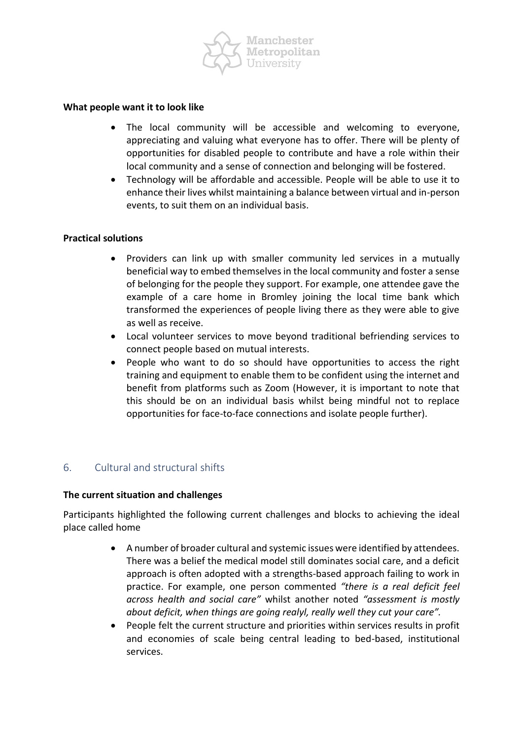

#### **What people want it to look like**

- The local community will be accessible and welcoming to everyone, appreciating and valuing what everyone has to offer. There will be plenty of opportunities for disabled people to contribute and have a role within their local community and a sense of connection and belonging will be fostered.
- Technology will be affordable and accessible. People will be able to use it to enhance their lives whilst maintaining a balance between virtual and in-person events, to suit them on an individual basis.

#### **Practical solutions**

- Providers can link up with smaller community led services in a mutually beneficial way to embed themselves in the local community and foster a sense of belonging for the people they support. For example, one attendee gave the example of a care home in Bromley joining the local time bank which transformed the experiences of people living there as they were able to give as well as receive.
- Local volunteer services to move beyond traditional befriending services to connect people based on mutual interests.
- People who want to do so should have opportunities to access the right training and equipment to enable them to be confident using the internet and benefit from platforms such as Zoom (However, it is important to note that this should be on an individual basis whilst being mindful not to replace opportunities for face-to-face connections and isolate people further).

#### 6. Cultural and structural shifts

#### **The current situation and challenges**

Participants highlighted the following current challenges and blocks to achieving the ideal place called home

- A number of broader cultural and systemic issues were identified by attendees. There was a belief the medical model still dominates social care, and a deficit approach is often adopted with a strengths-based approach failing to work in practice. For example, one person commented *"there is a real deficit feel across health and social care"* whilst another noted *"assessment is mostly about deficit, when things are going realyl, really well they cut your care".*
- People felt the current structure and priorities within services results in profit and economies of scale being central leading to bed-based, institutional services.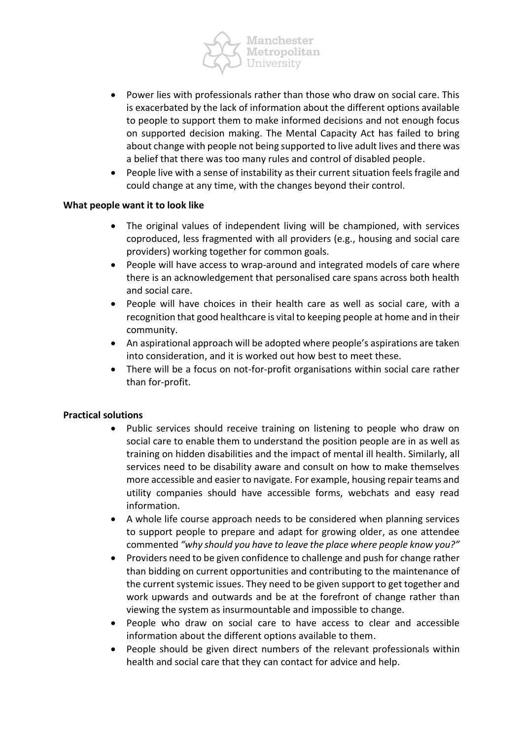

- Power lies with professionals rather than those who draw on social care. This is exacerbated by the lack of information about the different options available to people to support them to make informed decisions and not enough focus on supported decision making. The Mental Capacity Act has failed to bring about change with people not being supported to live adult lives and there was a belief that there was too many rules and control of disabled people.
- People live with a sense of instability as their current situation feels fragile and could change at any time, with the changes beyond their control.

#### **What people want it to look like**

- The original values of independent living will be championed, with services coproduced, less fragmented with all providers (e.g., housing and social care providers) working together for common goals.
- People will have access to wrap-around and integrated models of care where there is an acknowledgement that personalised care spans across both health and social care.
- People will have choices in their health care as well as social care, with a recognition that good healthcare is vital to keeping people at home and in their community.
- An aspirational approach will be adopted where people's aspirations are taken into consideration, and it is worked out how best to meet these.
- There will be a focus on not-for-profit organisations within social care rather than for-profit.

#### **Practical solutions**

- Public services should receive training on listening to people who draw on social care to enable them to understand the position people are in as well as training on hidden disabilities and the impact of mental ill health. Similarly, all services need to be disability aware and consult on how to make themselves more accessible and easier to navigate. For example, housing repair teams and utility companies should have accessible forms, webchats and easy read information.
- A whole life course approach needs to be considered when planning services to support people to prepare and adapt for growing older, as one attendee commented *"why should you have to leave the place where people know you?"*
- Providers need to be given confidence to challenge and push for change rather than bidding on current opportunities and contributing to the maintenance of the current systemic issues. They need to be given support to get together and work upwards and outwards and be at the forefront of change rather than viewing the system as insurmountable and impossible to change.
- People who draw on social care to have access to clear and accessible information about the different options available to them.
- People should be given direct numbers of the relevant professionals within health and social care that they can contact for advice and help.